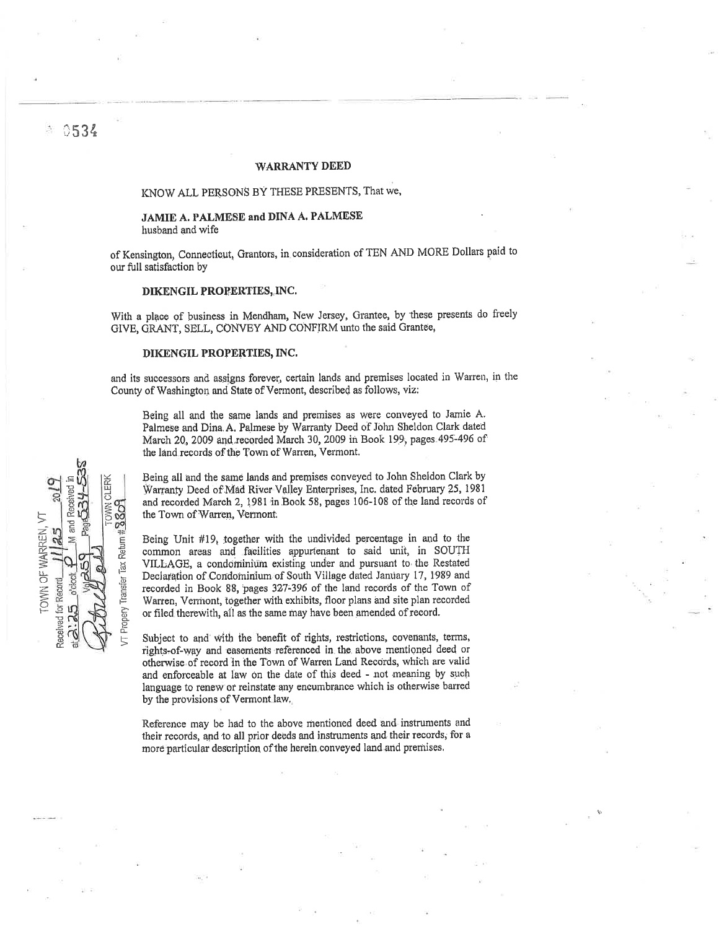## **WARRANTY DEED**

# KNOW ALL PERSONS BY THESE PRESENTS, That we,

# JAMIE A. PALMESE and DINA A. PALMESE husband and wife

of Kensington, Connecticut, Grantors, in consideration of TEN AND MORE Dollars paid to our full satisfaction by

## DIKENGIL PROPERTIES, INC.

With a place of business in Mendham, New Jersey, Grantee, by these presents do freely GIVE, GRANT, SELL, CONVEY AND CONFIRM unto the said Grantee,

#### DIKENGIL PROPERTIES, INC.

and its successors and assigns forever, certain lands and premises located in Warren, in the County of Washington and State of Vermont, described as follows, viz:

Being all and the same lands and premises as were conveyed to Jamie A. Palmese and Dina A. Palmese by Warranty Deed of John Sheldon Clark dated March 20, 2009 and recorded March 30, 2009 in Book 199, pages 495-496 of the land records of the Town of Warren, Vermont.

Being all and the same lands and premises conveyed to John Sheldon Clark by Warranty Deed of Mad River Valley Enterprises, Inc. dated February 25, 1981 and recorded March 2, 1981 in Book 58, pages 106-108 of the land records of the Town of Warren, Vermont.

Being Unit #19, together with the undivided percentage in and to the common areas and facilities appurtenant to said unit, in SOUTH VILLAGE, a condominium existing under and pursuant to the Restated Declaration of Condominium of South Village dated January 17, 1989 and recorded in Book 88, pages 327-396 of the land records of the Town of Warren, Vermont, together with exhibits, floor plans and site plan recorded or filed therewith, all as the same may have been amended of record.

Subject to and with the benefit of rights, restrictions, covenants, terms, rights-of-way and easements referenced in the above mentioned deed or otherwise of record in the Town of Warren Land Records, which are valid and enforceable at law on the date of this deed - not meaning by such language to renew or reinstate any encumbrance which is otherwise barred by the provisions of Vermont law.

Reference may be had to the above mentioned deed and instruments and their records, and to all prior deeds and instruments and their records, for a more particular description of the herein conveyed land and premises.

VN CLERI 8809 TOWN OF WARREN. VT **Rip**  $25$ Tax Return Transfer Received for Record VI Propery